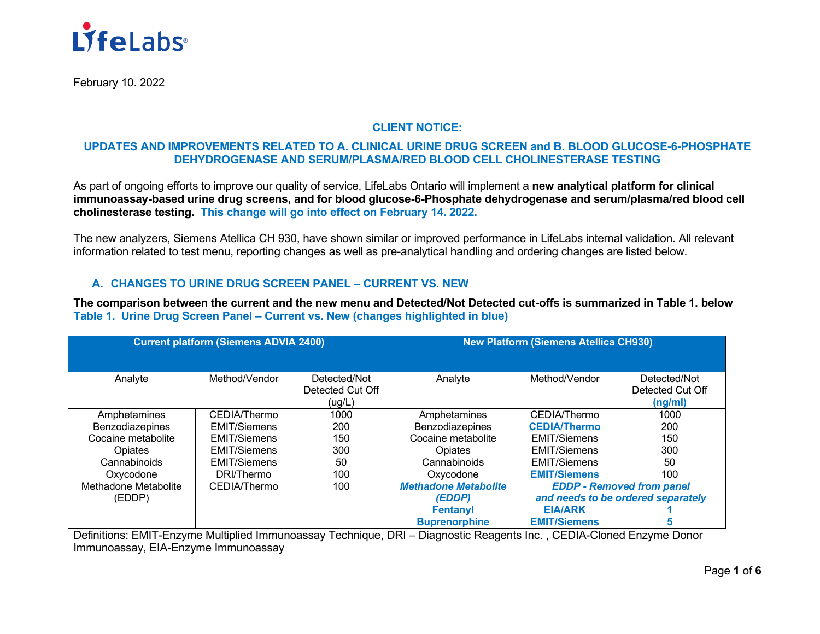

February 10. 2022

### **CLIENT NOTICE:**

## **UPDATES AND IMPROVEMENTS RELATED TO A. CLINICAL URINE DRUG SCREEN and B. BLOOD GLUCOSE-6-PHOSPHATE DEHYDROGENASE AND SERUM/PLASMA/RED BLOOD CELL CHOLINESTERASE TESTING**

As part of ongoing efforts to improve our quality of service, LifeLabs Ontario will implement a **new analytical platform for clinical immunoassay-based urine drug screens, and for blood glucose-6-Phosphate dehydrogenase and serum/plasma/red blood cell cholinesterase testing. This change will go into effect on February 14. 2022.**

The new analyzers, Siemens Atellica CH 930, have shown similar or improved performance in LifeLabs internal validation. All relevant information related to test menu, reporting changes as well as pre-analytical handling and ordering changes are listed below.

## **A. CHANGES TO URINE DRUG SCREEN PANEL – CURRENT VS. NEW**

**The comparison between the current and the new menu and Detected/Not Detected cut-offs is summarized in Table 1. below Table 1. Urine Drug Screen Panel – Current vs. New (changes highlighted in blue)**

| <b>Current platform (Siemens ADVIA 2400)</b> |                     |                  | <b>New Platform (Siemens Atellica CH930)</b> |                                    |                  |
|----------------------------------------------|---------------------|------------------|----------------------------------------------|------------------------------------|------------------|
|                                              |                     |                  |                                              |                                    |                  |
| Analyte                                      | Method/Vendor       | Detected/Not     | Analyte                                      | Method/Vendor                      | Detected/Not     |
|                                              |                     | Detected Cut Off |                                              |                                    | Detected Cut Off |
|                                              |                     | (ug/L)           |                                              |                                    | (ng/ml)          |
| Amphetamines                                 | CEDIA/Thermo        | 1000             | Amphetamines                                 | CEDIA/Thermo                       | 1000             |
| Benzodiazepines                              | <b>EMIT/Siemens</b> | 200              | Benzodiazepines                              | <b>CEDIA/Thermo</b>                | 200              |
| Cocaine metabolite                           | <b>EMIT/Siemens</b> | 150              | Cocaine metabolite                           | <b>EMIT/Siemens</b>                | 150              |
| Opiates                                      | <b>EMIT/Siemens</b> | 300              | Opiates                                      | <b>EMIT/Siemens</b>                | 300              |
| Cannabinoids                                 | <b>EMIT/Siemens</b> | 50               | Cannabinoids                                 | <b>EMIT/Siemens</b>                | 50               |
| Oxycodone                                    | DRI/Thermo          | 100              | Oxycodone                                    | <b>EMIT/Siemens</b>                | 100              |
| Methadone Metabolite                         | CEDIA/Thermo        | 100              | <b>Methadone Metabolite</b>                  | <b>EDDP - Removed from panel</b>   |                  |
| (EDDP)                                       |                     |                  | (EDDP)                                       | and needs to be ordered separately |                  |
|                                              |                     |                  | <b>Fentanyl</b>                              | <b>EIA/ARK</b>                     |                  |
|                                              |                     |                  | <b>Buprenorphine</b>                         | <b>EMIT/Siemens</b>                |                  |

Definitions: EMIT-Enzyme Multiplied Immunoassay Technique, DRI – Diagnostic Reagents Inc. , CEDIA-Cloned Enzyme Donor Immunoassay, EIA-Enzyme Immunoassay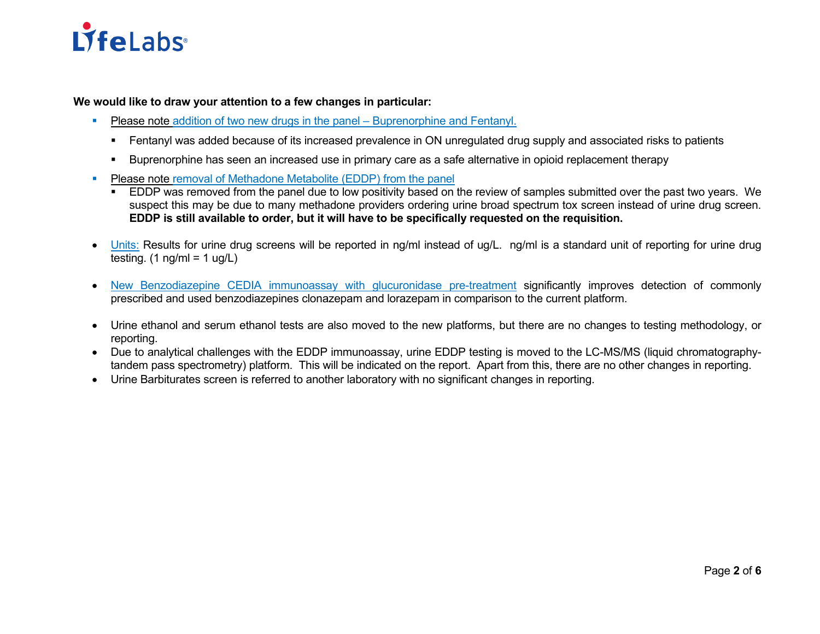# **LifeLabs**

**We would like to draw your attention to a few changes in particular:**

- Please note addition of two new drugs in the panel Buprenorphine and Fentanyl.
	- Fentanyl was added because of its increased prevalence in ON unregulated drug supply and associated risks to patients
	- Buprenorphine has seen an increased use in primary care as a safe alternative in opioid replacement therapy
- **Please note removal of Methadone Metabolite (EDDP) from the panel** 
	- **EDDP** was removed from the panel due to low positivity based on the review of samples submitted over the past two years. We suspect this may be due to many methadone providers ordering urine broad spectrum tox screen instead of urine drug screen. **EDDP is still available to order, but it will have to be specifically requested on the requisition.**
- Units: Results for urine drug screens will be reported in ng/ml instead of ug/L. ng/ml is a standard unit of reporting for urine drug testing.  $(1 \text{ ng/ml} = 1 \text{ ug/L})$
- New Benzodiazepine CEDIA immunoassay with glucuronidase pre-treatment significantly improves detection of commonly prescribed and used benzodiazepines clonazepam and lorazepam in comparison to the current platform.
- Urine ethanol and serum ethanol tests are also moved to the new platforms, but there are no changes to testing methodology, or reporting.
- Due to analytical challenges with the EDDP immunoassay, urine EDDP testing is moved to the LC-MS/MS (liquid chromatographytandem pass spectrometry) platform. This will be indicated on the report. Apart from this, there are no other changes in reporting.
- Urine Barbiturates screen is referred to another laboratory with no significant changes in reporting.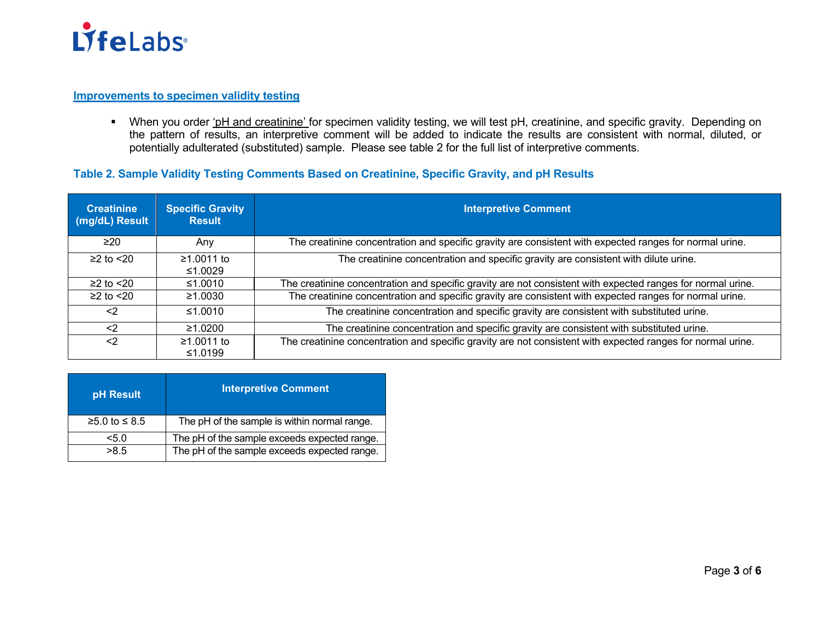

# **Improvements to specimen validity testing**

When you order 'pH and creatinine' for specimen validity testing, we will test pH, creatinine, and specific gravity. Depending on the pattern of results, an interpretive comment will be added to indicate the results are consistent with normal, diluted, or potentially adulterated (substituted) sample. Please see table 2 for the full list of interpretive comments.

# **Table 2. Sample Validity Testing Comments Based on Creatinine, Specific Gravity, and pH Results**

| <b>Creatinine</b><br>(mg/dL) Result | <b>Specific Gravity</b><br><b>Result</b> | <b>Interpretive Comment</b>                                                                                 |
|-------------------------------------|------------------------------------------|-------------------------------------------------------------------------------------------------------------|
| $\geq 20$                           | Any                                      | The creatinine concentration and specific gravity are consistent with expected ranges for normal urine.     |
| $\geq$ 2 to $\leq$ 20               | ≥1.0011 to<br>≤1.0029                    | The creatinine concentration and specific gravity are consistent with dilute urine.                         |
| $≥2$ to $≤20$                       | ≤1.0010                                  | The creatinine concentration and specific gravity are not consistent with expected ranges for normal urine. |
| $\geq$ 2 to $\leq$ 20               | ≥1.0030                                  | The creatinine concentration and specific gravity are consistent with expected ranges for normal urine.     |
| $<$ 2                               | ≤1.0010                                  | The creatinine concentration and specific gravity are consistent with substituted urine.                    |
| $<$ 2                               | $\geq 1.0200$                            | The creatinine concentration and specific gravity are consistent with substituted urine.                    |
| $<$ 2                               | ≥1.0011 to<br>≤1.0199                    | The creatinine concentration and specific gravity are not consistent with expected ranges for normal urine. |

| pH Result       | <b>Interpretive Comment</b>                  |
|-----------------|----------------------------------------------|
| $≥5.0$ to ≤ 8.5 | The pH of the sample is within normal range. |
| 5.0             | The pH of the sample exceeds expected range. |
| >8.5            | The pH of the sample exceeds expected range. |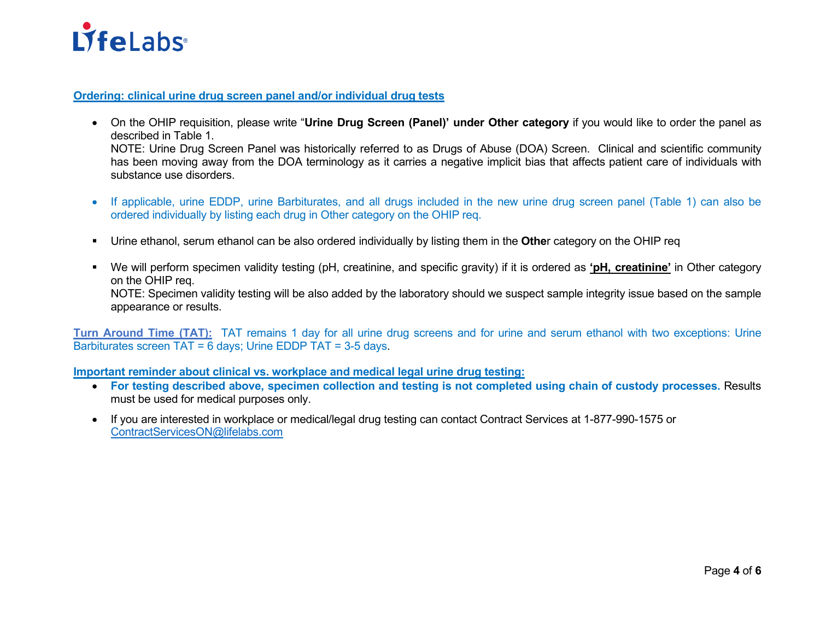

**Ordering: clinical urine drug screen panel and/or individual drug tests**

- On the OHIP requisition, please write "**Urine Drug Screen (Panel)' under Other category** if you would like to order the panel as described in Table 1. NOTE: Urine Drug Screen Panel was historically referred to as Drugs of Abuse (DOA) Screen. Clinical and scientific community has been moving away from the DOA terminology as it carries a negative implicit bias that affects patient care of individuals with substance use disorders.
- If applicable, urine EDDP, urine Barbiturates, and all drugs included in the new urine drug screen panel (Table 1) can also be ordered individually by listing each drug in Other category on the OHIP req.
- Urine ethanol, serum ethanol can be also ordered individually by listing them in the **Othe**r category on the OHIP req
- We will perform specimen validity testing (pH, creatinine, and specific gravity) if it is ordered as **'pH, creatinine'** in Other category on the OHIP req. NOTE: Specimen validity testing will be also added by the laboratory should we suspect sample integrity issue based on the sample appearance or results.

**Turn Around Time (TAT):** TAT remains 1 day for all urine drug screens and for urine and serum ethanol with two exceptions: Urine Barbiturates screen TAT = 6 days; Urine EDDP TAT = 3-5 days.

**Important reminder about clinical vs. workplace and medical legal urine drug testing:** 

- **For testing described above, specimen collection and testing is not completed using chain of custody processes.** Results must be used for medical purposes only.
- If you are interested in workplace or medical/legal drug testing can contact Contract Services at 1-877-990-1575 or [ContractServicesON@lifelabs.com](mailto:ContractServicesON@lifelabs.com)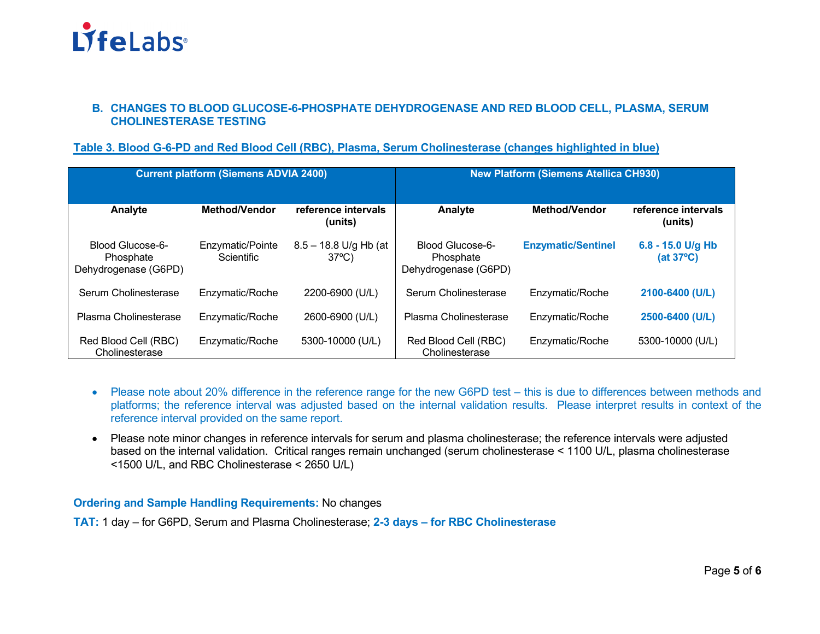

#### **B. CHANGES TO BLOOD GLUCOSE-6-PHOSPHATE DEHYDROGENASE AND RED BLOOD CELL, PLASMA, SERUM CHOLINESTERASE TESTING**

#### **Table 3. Blood G-6-PD and Red Blood Cell (RBC), Plasma, Serum Cholinesterase (changes highlighted in blue)**

| <b>Current platform (Siemens ADVIA 2400)</b>          |                                       |                                            | <b>New Platform (Siemens Atellica CH930)</b>          |                           |                                |
|-------------------------------------------------------|---------------------------------------|--------------------------------------------|-------------------------------------------------------|---------------------------|--------------------------------|
| Analyte                                               | Method/Vendor                         | reference intervals<br>(units)             | Analyte                                               | <b>Method/Vendor</b>      | reference intervals<br>(units) |
| Blood Glucose-6-<br>Phosphate<br>Dehydrogenase (G6PD) | Enzymatic/Pointe<br><b>Scientific</b> | $8.5 - 18.8$ U/g Hb (at<br>$37^{\circ}$ C) | Blood Glucose-6-<br>Phosphate<br>Dehydrogenase (G6PD) | <b>Enzymatic/Sentinel</b> | 6.8 - 15.0 U/g Hb<br>(at 37°C) |
| Serum Cholinesterase                                  | Enzymatic/Roche                       | 2200-6900 (U/L)                            | Serum Cholinesterase                                  | Enzymatic/Roche           | 2100-6400 (U/L)                |
| Plasma Cholinesterase                                 | Enzymatic/Roche                       | 2600-6900 (U/L)                            | Plasma Cholinesterase                                 | Enzymatic/Roche           | 2500-6400 (U/L)                |
| Red Blood Cell (RBC)<br>Cholinesterase                | Enzymatic/Roche                       | 5300-10000 (U/L)                           | Red Blood Cell (RBC)<br>Cholinesterase                | Enzymatic/Roche           | 5300-10000 (U/L)               |

- Please note about 20% difference in the reference range for the new G6PD test this is due to differences between methods and platforms; the reference interval was adjusted based on the internal validation results. Please interpret results in context of the reference interval provided on the same report.
- Please note minor changes in reference intervals for serum and plasma cholinesterase; the reference intervals were adjusted based on the internal validation. Critical ranges remain unchanged (serum cholinesterase < 1100 U/L, plasma cholinesterase <1500 U/L, and RBC Cholinesterase < 2650 U/L)

**Ordering and Sample Handling Requirements:** No changes

**TAT:** 1 day – for G6PD, Serum and Plasma Cholinesterase; **2-3 days – for RBC Cholinesterase**